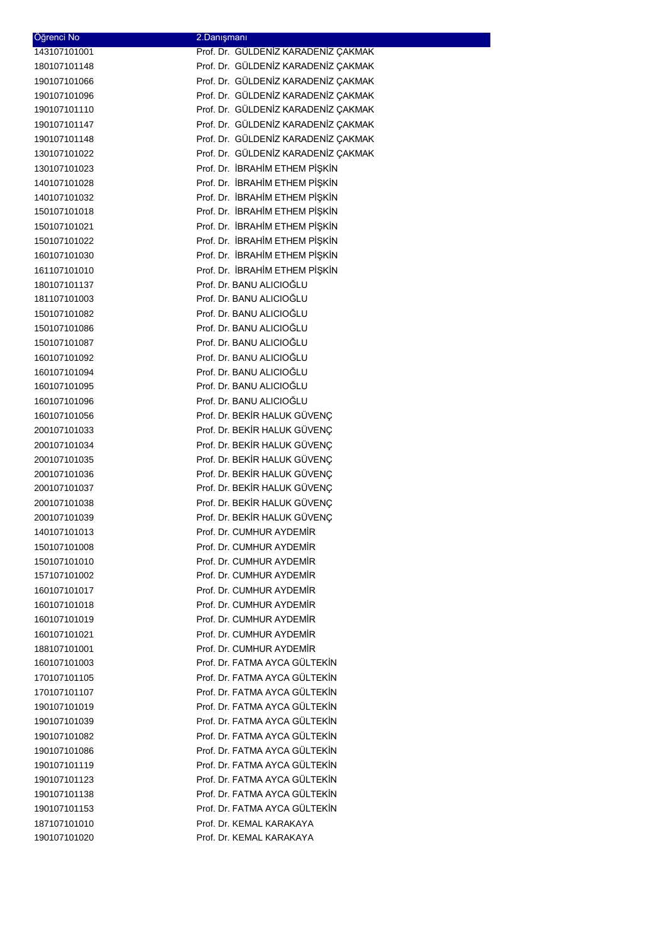| Oğrenci No                   | 2.Danışmanı                                          |
|------------------------------|------------------------------------------------------|
| 143107101001                 | Prof. Dr. GÜLDENİZ KARADENİZ ÇAKMAK                  |
| 180107101148                 | Prof. Dr. GÜLDENİZ KARADENİZ ÇAKMAK                  |
| 190107101066                 | Prof. Dr. GÜLDENİZ KARADENİZ ÇAKMAK                  |
| 190107101096                 | Prof. Dr. GÜLDENİZ KARADENİZ ÇAKMAK                  |
| 190107101110                 | Prof. Dr. GÜLDENİZ KARADENİZ ÇAKMAK                  |
| 190107101147                 | Prof. Dr. GÜLDENİZ KARADENİZ ÇAKMAK                  |
| 190107101148                 | Prof. Dr. GÜLDENİZ KARADENİZ ÇAKMAK                  |
| 130107101022                 | Prof. Dr. GÜLDENİZ KARADENİZ ÇAKMAK                  |
| 130107101023                 | Prof. Dr. İBRAHİM ETHEM PİŞKİN                       |
| 140107101028                 | Prof. Dr. İBRAHİM ETHEM PİŞKİN                       |
| 140107101032                 | Prof. Dr. İBRAHİM ETHEM PİŞKİN                       |
| 150107101018                 | Prof. Dr. İBRAHİM ETHEM PİŞKİN                       |
| 150107101021                 | Prof. Dr. İBRAHİM ETHEM PİŞKİN                       |
| 150107101022                 | Prof. Dr. İBRAHİM ETHEM PİŞKİN                       |
| 160107101030                 | Prof. Dr. İBRAHİM ETHEM PİŞKİN                       |
| 161107101010                 | Prof. Dr. İBRAHİM ETHEM PİŞKİN                       |
| 180107101137                 | Prof. Dr. BANU ALICIOĞLU                             |
| 181107101003                 | Prof. Dr. BANU ALICIOĞLU                             |
| 150107101082                 | Prof. Dr. BANU ALICIOĞLU                             |
| 150107101086                 | Prof. Dr. BANU ALICIOĞLU<br>Prof. Dr. BANU ALICIOĞLU |
| 150107101087                 | Prof. Dr. BANU ALICIOĞLU                             |
| 160107101092<br>160107101094 | Prof. Dr. BANU ALICIOĞLU                             |
| 160107101095                 | Prof. Dr. BANU ALICIOĞLU                             |
| 160107101096                 | Prof. Dr. BANU ALICIOĞLU                             |
| 160107101056                 | Prof. Dr. BEKİR HALUK GÜVENÇ                         |
| 200107101033                 | Prof. Dr. BEKİR HALUK GÜVENÇ                         |
| 200107101034                 | Prof. Dr. BEKİR HALUK GÜVENÇ                         |
| 200107101035                 | Prof. Dr. BEKİR HALUK GÜVENÇ                         |
| 200107101036                 | Prof. Dr. BEKİR HALUK GÜVENÇ                         |
| 200107101037                 | Prof. Dr. BEKİR HALUK GÜVENÇ                         |
| 200107101038                 | Prof. Dr. BEKİR HALUK GÜVENÇ                         |
| 200107101039                 | Prof. Dr. BEKİR HALUK GÜVENÇ                         |
| 140107101013                 | Prof. Dr. CUMHUR AYDEMİR                             |
| 150107101008                 | Prof. Dr. CUMHUR AYDEMIR                             |
| 150107101010                 | Prof. Dr. CUMHUR AYDEMİR                             |
| 157107101002                 | Prof. Dr. CUMHUR AYDEMIR                             |
| 160107101017                 | Prof. Dr. CUMHUR AYDEMIR                             |
| 160107101018                 | Prof. Dr. CUMHUR AYDEMIR                             |
| 160107101019                 | Prof. Dr. CUMHUR AYDEMIR                             |
| 160107101021                 | Prof. Dr. CUMHUR AYDEMIR                             |
| 188107101001                 | Prof. Dr. CUMHUR AYDEMIR                             |
| 160107101003                 | Prof. Dr. FATMA AYCA GÜLTEKİN                        |
| 170107101105                 | Prof. Dr. FATMA AYCA GÜLTEKİN                        |
| 170107101107                 | Prof. Dr. FATMA AYCA GÜLTEKİN                        |
| 190107101019                 | Prof. Dr. FATMA AYCA GÜLTEKİN                        |
| 190107101039                 | Prof. Dr. FATMA AYCA GÜLTEKİN                        |
| 190107101082                 | Prof. Dr. FATMA AYCA GÜLTEKİN                        |
| 190107101086                 | Prof. Dr. FATMA AYCA GÜLTEKİN                        |
| 190107101119                 | Prof. Dr. FATMA AYCA GÜLTEKİN                        |
| 190107101123                 | Prof. Dr. FATMA AYCA GÜLTEKİN                        |
| 190107101138                 | Prof. Dr. FATMA AYCA GÜLTEKİN                        |
| 190107101153                 | Prof. Dr. FATMA AYCA GÜLTEKİN                        |
| 187107101010                 | Prof. Dr. KEMAL KARAKAYA                             |
| 190107101020                 | Prof. Dr. KEMAL KARAKAYA                             |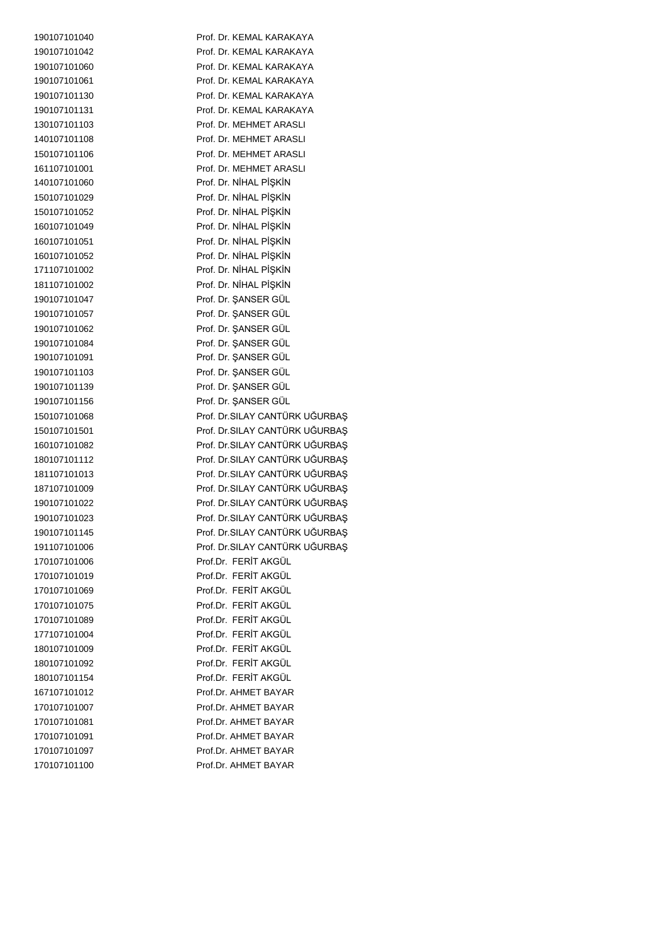Prof. Dr. KEMAL KARAKAYA Prof. Dr. KEMAL KARAKAYA Prof. Dr. KEMAL KARAKAYA 190107101061 Prof. Dr. KEMAL KARAKAYA Prof. Dr. KEMAL KARAKAYA 190107101131 Prof. Dr. KEMAL KARAKAYA Prof. Dr. MEHMET ARASLI Prof. Dr. MEHMET ARASLI Prof. Dr. MEHMET ARASLI 161107101001 Prof. Dr. MEHMET ARASLI Prof. Dr. NİHAL PİŞKİN Prof. Dr. NİHAL PİŞKİN Prof. Dr. NİHAL PİŞKİN Prof. Dr. NİHAL PİŞKİN Prof. Dr. NİHAL PİŞKİN Prof. Dr. NİHAL PİŞKİN Prof. Dr. NİHAL PİŞKİN Prof. Dr. NİHAL PİŞKİN Prof. Dr. ŞANSER GÜL Prof. Dr. ŞANSER GÜL Prof. Dr. ŞANSER GÜL Prof. Dr. ŞANSER GÜL 190107101091 Prof. Dr. ŞANSER GÜL Prof. Dr. ŞANSER GÜL Prof. Dr. ŞANSER GÜL 190107101156 Prof. Dr. ŞANSER GÜL Prof. Dr.SILAY CANTÜRK UĞURBAŞ Prof. Dr.SILAY CANTÜRK UĞURBAŞ Prof. Dr.SILAY CANTÜRK UĞURBAŞ Prof. Dr.SILAY CANTÜRK UĞURBAŞ Prof. Dr.SILAY CANTÜRK UĞURBAŞ Prof. Dr.SILAY CANTÜRK UĞURBAŞ Prof. Dr.SILAY CANTÜRK UĞURBAŞ Prof. Dr.SILAY CANTÜRK UĞURBAŞ Prof. Dr.SILAY CANTÜRK UĞURBAŞ Prof. Dr.SILAY CANTÜRK UĞURBAŞ Prof.Dr. FERİT AKGÜL Prof.Dr. FERİT AKGÜL Prof.Dr. FERİT AKGÜL Prof.Dr. FERİT AKGÜL Prof.Dr. FERİT AKGÜL Prof.Dr. FERİT AKGÜL Prof.Dr. FERİT AKGÜL Prof.Dr. FERİT AKGÜL Prof.Dr. FERİT AKGÜL Prof.Dr. AHMET BAYAR Prof.Dr. AHMET BAYAR Prof.Dr. AHMET BAYAR Prof.Dr. AHMET BAYAR Prof.Dr. AHMET BAYAR Prof.Dr. AHMET BAYAR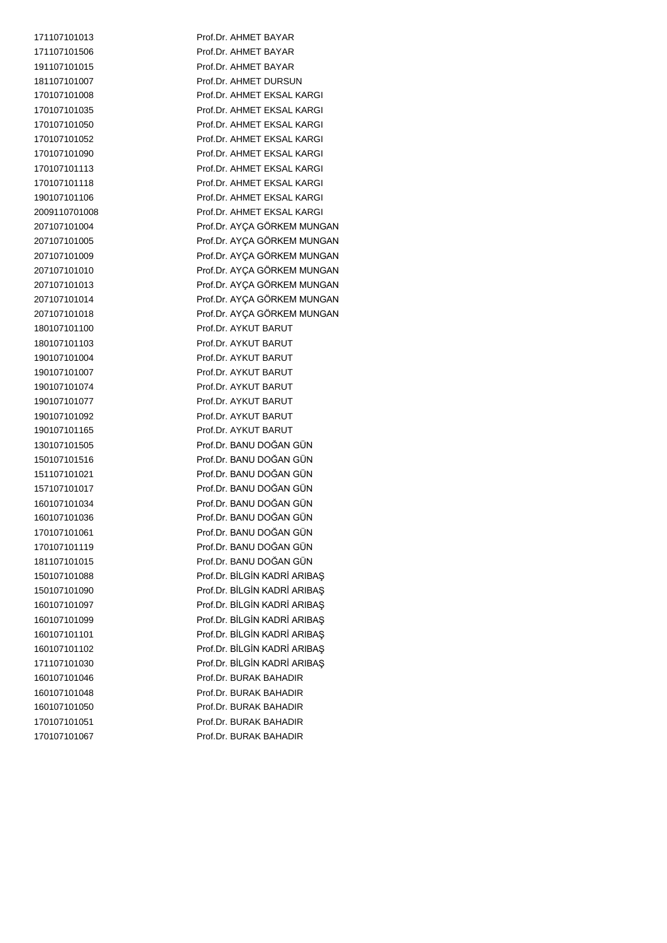Prof.Dr. AHMET BAYAR Prof.Dr. AHMET BAYAR Prof.Dr. AHMET BAYAR 181107101007 Prof.Dr. AHMET DURSUN Prof.Dr. AHMET EKSAL KARGI Prof.Dr. AHMET EKSAL KARGI Prof.Dr. AHMET EKSAL KARGI Prof.Dr. AHMET EKSAL KARGI Prof.Dr. AHMET EKSAL KARGI Prof.Dr. AHMET EKSAL KARGI Prof.Dr. AHMET EKSAL KARGI Prof.Dr. AHMET EKSAL KARGI Prof.Dr. AHMET EKSAL KARGI Prof.Dr. AYÇA GÖRKEM MUNGAN Prof.Dr. AYÇA GÖRKEM MUNGAN Prof.Dr. AYÇA GÖRKEM MUNGAN Prof.Dr. AYÇA GÖRKEM MUNGAN Prof.Dr. AYÇA GÖRKEM MUNGAN Prof.Dr. AYÇA GÖRKEM MUNGAN Prof.Dr. AYÇA GÖRKEM MUNGAN Prof.Dr. AYKUT BARUT Prof.Dr. AYKUT BARUT Prof.Dr. AYKUT BARUT Prof.Dr. AYKUT BARUT Prof.Dr. AYKUT BARUT Prof.Dr. AYKUT BARUT Prof.Dr. AYKUT BARUT Prof.Dr. AYKUT BARUT Prof.Dr. BANU DOĞAN GÜN Prof.Dr. BANU DOĞAN GÜN Prof.Dr. BANU DOĞAN GÜN Prof.Dr. BANU DOĞAN GÜN Prof.Dr. BANU DOĞAN GÜN Prof.Dr. BANU DOĞAN GÜN Prof.Dr. BANU DOĞAN GÜN Prof.Dr. BANU DOĞAN GÜN Prof.Dr. BANU DOĞAN GÜN Prof.Dr. BİLGİN KADRİ ARIBAŞ Prof.Dr. BİLGİN KADRİ ARIBAŞ Prof.Dr. BİLGİN KADRİ ARIBAŞ Prof.Dr. BİLGİN KADRİ ARIBAŞ Prof.Dr. BİLGİN KADRİ ARIBAŞ Prof.Dr. BİLGİN KADRİ ARIBAŞ Prof.Dr. BİLGİN KADRİ ARIBAŞ Prof.Dr. BURAK BAHADIR Prof.Dr. BURAK BAHADIR Prof.Dr. BURAK BAHADIR Prof.Dr. BURAK BAHADIR Prof.Dr. BURAK BAHADIR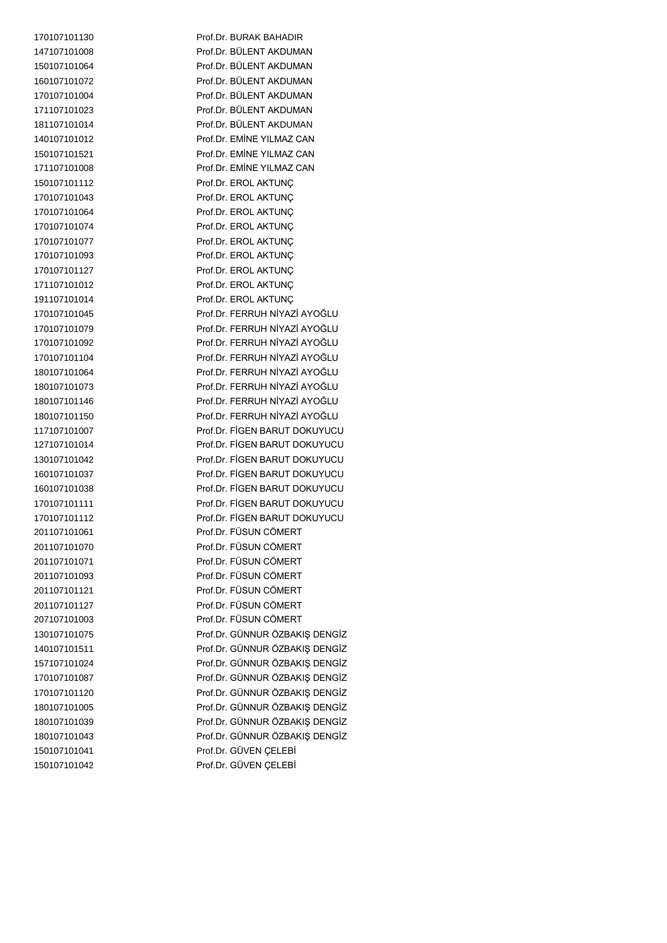Prof.Dr. BURAK BAHADIR Prof.Dr. BÜLENT AKDUMAN Prof.Dr. BÜLENT AKDUMAN 160107101072 Prof.Dr. BÜLENT AKDUMAN Prof.Dr. BÜLENT AKDUMAN Prof.Dr. BÜLENT AKDUMAN Prof.Dr. BÜLENT AKDUMAN Prof.Dr. EMİNE YILMAZ CAN Prof.Dr. EMİNE YILMAZ CAN Prof.Dr. EMİNE YILMAZ CAN Prof.Dr. EROL AKTUNÇ Prof.Dr. EROL AKTUNÇ Prof.Dr. EROL AKTUNÇ Prof.Dr. EROL AKTUNÇ Prof.Dr. EROL AKTUNÇ Prof.Dr. EROL AKTUNÇ Prof.Dr. EROL AKTUNÇ Prof.Dr. EROL AKTUNÇ Prof.Dr. EROL AKTUNÇ Prof.Dr. FERRUH NİYAZİ AYOĞLU Prof.Dr. FERRUH NİYAZİ AYOĞLU Prof.Dr. FERRUH NİYAZİ AYOĞLU Prof.Dr. FERRUH NİYAZİ AYOĞLU Prof.Dr. FERRUH NİYAZİ AYOĞLU Prof.Dr. FERRUH NİYAZİ AYOĞLU Prof.Dr. FERRUH NİYAZİ AYOĞLU Prof.Dr. FERRUH NİYAZİ AYOĞLU Prof.Dr. FİGEN BARUT DOKUYUCU Prof.Dr. FİGEN BARUT DOKUYUCU Prof.Dr. FİGEN BARUT DOKUYUCU Prof.Dr. FİGEN BARUT DOKUYUCU Prof.Dr. FİGEN BARUT DOKUYUCU Prof.Dr. FİGEN BARUT DOKUYUCU Prof.Dr. FİGEN BARUT DOKUYUCU Prof.Dr. FÜSUN CÖMERT Prof.Dr. FÜSUN CÖMERT Prof.Dr. FÜSUN CÖMERT Prof.Dr. FÜSUN CÖMERT Prof.Dr. FÜSUN CÖMERT Prof.Dr. FÜSUN CÖMERT Prof.Dr. FÜSUN CÖMERT Prof.Dr. GÜNNUR ÖZBAKIŞ DENGİZ Prof.Dr. GÜNNUR ÖZBAKIŞ DENGİZ Prof.Dr. GÜNNUR ÖZBAKIŞ DENGİZ Prof.Dr. GÜNNUR ÖZBAKIŞ DENGİZ Prof.Dr. GÜNNUR ÖZBAKIŞ DENGİZ Prof.Dr. GÜNNUR ÖZBAKIŞ DENGİZ Prof.Dr. GÜNNUR ÖZBAKIŞ DENGİZ Prof.Dr. GÜNNUR ÖZBAKIŞ DENGİZ Prof.Dr. GÜVEN ÇELEBİ Prof.Dr. GÜVEN ÇELEBİ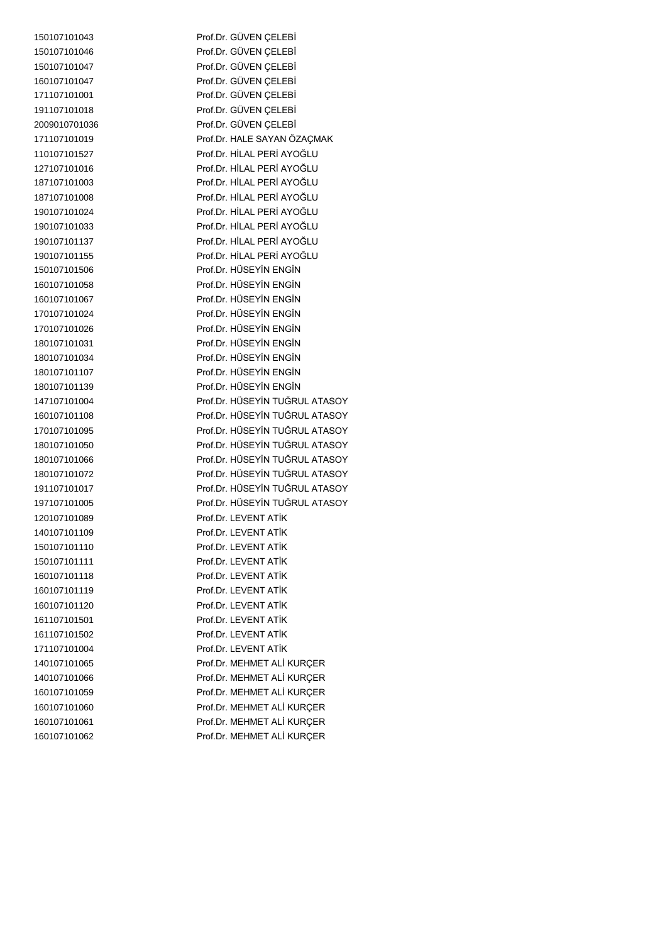Prof.Dr. GÜVEN ÇELEBİ Prof.Dr. GÜVEN ÇELEBİ Prof.Dr. GÜVEN ÇELEBİ Prof.Dr. GÜVEN ÇELEBİ 171107101001 Prof.Dr. GÜVEN CELEBİ Prof.Dr. GÜVEN ÇELEBİ Prof.Dr. GÜVEN ÇELEBİ Prof.Dr. HALE SAYAN ÖZAÇMAK Prof.Dr. HİLAL PERİ AYOĞLU Prof.Dr. HİLAL PERİ AYOĞLU Prof.Dr. HİLAL PERİ AYOĞLU Prof.Dr. HİLAL PERİ AYOĞLU Prof.Dr. HİLAL PERİ AYOĞLU Prof.Dr. HİLAL PERİ AYOĞLU Prof.Dr. HİLAL PERİ AYOĞLU Prof.Dr. HİLAL PERİ AYOĞLU Prof.Dr. HÜSEYİN ENGİN Prof.Dr. HÜSEYİN ENGİN Prof.Dr. HÜSEYİN ENGİN Prof.Dr. HÜSEYİN ENGİN Prof.Dr. HÜSEYİN ENGİN Prof.Dr. HÜSEYİN ENGİN Prof.Dr. HÜSEYİN ENGİN Prof.Dr. HÜSEYİN ENGİN 180107101139 Prof.Dr. HÜSEYİN ENGİN Prof.Dr. HÜSEYİN TUĞRUL ATASOY Prof.Dr. HÜSEYİN TUĞRUL ATASOY Prof.Dr. HÜSEYİN TUĞRUL ATASOY Prof.Dr. HÜSEYİN TUĞRUL ATASOY Prof.Dr. HÜSEYİN TUĞRUL ATASOY Prof.Dr. HÜSEYİN TUĞRUL ATASOY Prof.Dr. HÜSEYİN TUĞRUL ATASOY Prof.Dr. HÜSEYİN TUĞRUL ATASOY Prof.Dr. LEVENT ATİK Prof.Dr. LEVENT ATİK Prof.Dr. LEVENT ATİK Prof.Dr. LEVENT ATİK Prof.Dr. LEVENT ATİK Prof.Dr. LEVENT ATİK Prof.Dr. LEVENT ATİK Prof.Dr. LEVENT ATİK Prof.Dr. LEVENT ATİK Prof.Dr. LEVENT ATİK Prof.Dr. MEHMET ALİ KURÇER Prof.Dr. MEHMET ALİ KURÇER Prof.Dr. MEHMET ALİ KURÇER Prof.Dr. MEHMET ALİ KURÇER Prof.Dr. MEHMET ALİ KURÇER Prof.Dr. MEHMET ALİ KURÇER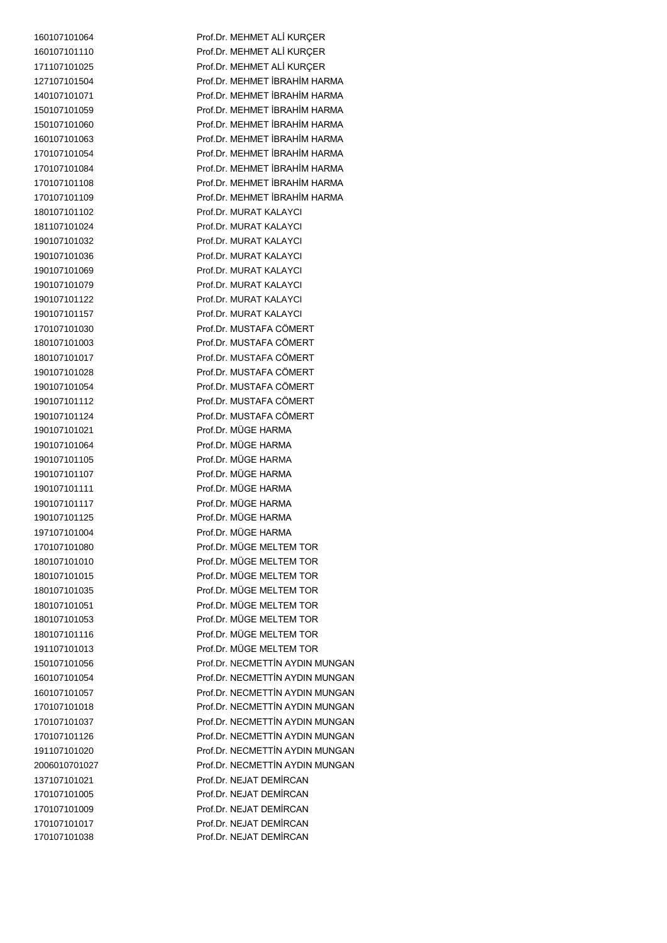Prof.Dr. MEHMET ALİ KURÇER Prof.Dr. MEHMET ALİ KURÇER Prof.Dr. MEHMET ALİ KURÇER Prof.Dr. MEHMET İBRAHİM HARMA Prof.Dr. MEHMET İBRAHİM HARMA Prof.Dr. MEHMET İBRAHİM HARMA Prof.Dr. MEHMET İBRAHİM HARMA Prof.Dr. MEHMET İBRAHİM HARMA Prof.Dr. MEHMET İBRAHİM HARMA Prof.Dr. MEHMET İBRAHİM HARMA Prof.Dr. MEHMET İBRAHİM HARMA Prof.Dr. MEHMET İBRAHİM HARMA Prof.Dr. MURAT KALAYCI Prof.Dr. MURAT KALAYCI Prof.Dr. MURAT KALAYCI Prof.Dr. MURAT KALAYCI Prof.Dr. MURAT KALAYCI Prof.Dr. MURAT KALAYCI Prof.Dr. MURAT KALAYCI 190107101157 Prof.Dr. MURAT KALAYCI Prof.Dr. MUSTAFA CÖMERT Prof.Dr. MUSTAFA CÖMERT Prof.Dr. MUSTAFA CÖMERT Prof.Dr. MUSTAFA CÖMERT Prof.Dr. MUSTAFA CÖMERT Prof.Dr. MUSTAFA CÖMERT Prof.Dr. MUSTAFA CÖMERT Prof.Dr. MÜGE HARMA Prof.Dr. MÜGE HARMA Prof.Dr. MÜGE HARMA Prof.Dr. MÜGE HARMA Prof.Dr. MÜGE HARMA Prof.Dr. MÜGE HARMA Prof.Dr. MÜGE HARMA Prof.Dr. MÜGE HARMA Prof.Dr. MÜGE MELTEM TOR Prof.Dr. MÜGE MELTEM TOR Prof.Dr. MÜGE MELTEM TOR Prof.Dr. MÜGE MELTEM TOR Prof.Dr. MÜGE MELTEM TOR Prof.Dr. MÜGE MELTEM TOR 180107101116 Prof.Dr. MÜGE MELTEM TOR Prof.Dr. MÜGE MELTEM TOR Prof.Dr. NECMETTİN AYDIN MUNGAN Prof.Dr. NECMETTİN AYDIN MUNGAN Prof.Dr. NECMETTİN AYDIN MUNGAN Prof.Dr. NECMETTİN AYDIN MUNGAN Prof.Dr. NECMETTİN AYDIN MUNGAN Prof.Dr. NECMETTİN AYDIN MUNGAN Prof.Dr. NECMETTİN AYDIN MUNGAN Prof.Dr. NECMETTİN AYDIN MUNGAN Prof.Dr. NEJAT DEMİRCAN Prof.Dr. NEJAT DEMİRCAN Prof.Dr. NEJAT DEMİRCAN 170107101017 Prof.Dr. NEJAT DEMİRCAN Prof.Dr. NEJAT DEMİRCAN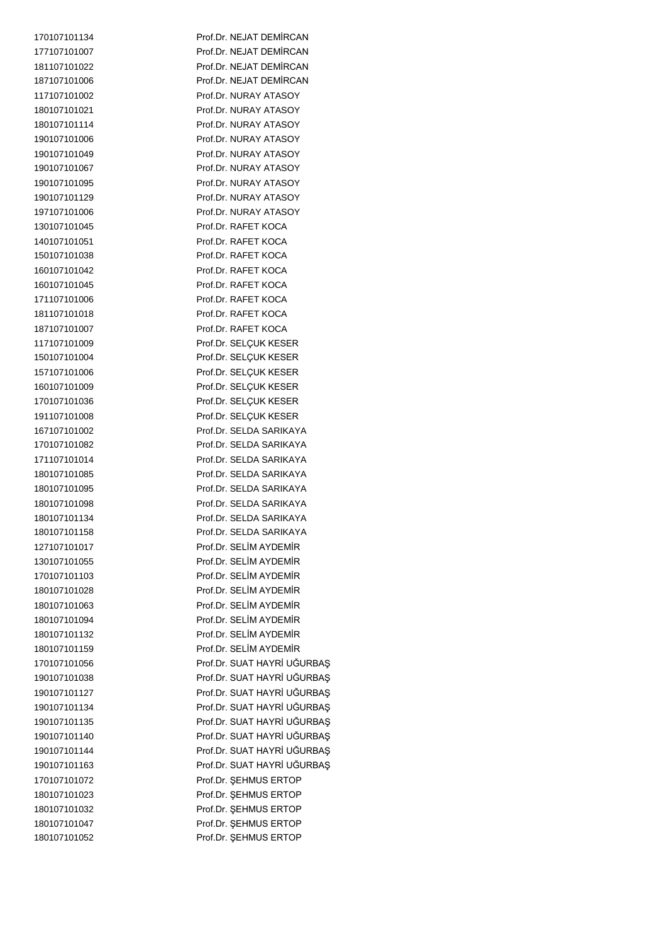Prof.Dr. NEJAT DEMİRCAN Prof.Dr. NEJAT DEMİRCAN Prof.Dr. NEJAT DEMİRCAN 187107101006 Prof.Dr. NEJAT DEMİRCAN Prof.Dr. NURAY ATASOY Prof.Dr. NURAY ATASOY Prof.Dr. NURAY ATASOY Prof.Dr. NURAY ATASOY Prof.Dr. NURAY ATASOY Prof.Dr. NURAY ATASOY Prof.Dr. NURAY ATASOY Prof.Dr. NURAY ATASOY Prof.Dr. NURAY ATASOY Prof.Dr. RAFET KOCA 140107101051 Prof.Dr. RAFET KOCA Prof.Dr. RAFET KOCA Prof.Dr. RAFET KOCA Prof.Dr. RAFET KOCA 171107101006 Prof.Dr. RAFET KOCA Prof.Dr. RAFET KOCA Prof.Dr. RAFET KOCA Prof.Dr. SELÇUK KESER Prof.Dr. SELÇUK KESER Prof.Dr. SELÇUK KESER Prof.Dr. SELÇUK KESER Prof.Dr. SELÇUK KESER Prof.Dr. SELÇUK KESER Prof.Dr. SELDA SARIKAYA 170107101082 Prof.Dr. SELDA SARIKAYA Prof.Dr. SELDA SARIKAYA Prof.Dr. SELDA SARIKAYA Prof.Dr. SELDA SARIKAYA Prof.Dr. SELDA SARIKAYA 180107101134 Prof.Dr. SELDA SARIKAYA Prof.Dr. SELDA SARIKAYA Prof.Dr. SELİM AYDEMİR Prof.Dr. SELİM AYDEMİR Prof.Dr. SELİM AYDEMİR Prof.Dr. SELİM AYDEMİR Prof.Dr. SELİM AYDEMİR Prof.Dr. SELİM AYDEMİR Prof.Dr. SELİM AYDEMİR Prof.Dr. SELİM AYDEMİR Prof.Dr. SUAT HAYRİ UĞURBAŞ Prof.Dr. SUAT HAYRİ UĞURBAŞ Prof.Dr. SUAT HAYRİ UĞURBAŞ Prof.Dr. SUAT HAYRİ UĞURBAŞ Prof.Dr. SUAT HAYRİ UĞURBAŞ Prof.Dr. SUAT HAYRİ UĞURBAŞ Prof.Dr. SUAT HAYRİ UĞURBAŞ Prof.Dr. SUAT HAYRİ UĞURBAŞ Prof.Dr. ŞEHMUS ERTOP Prof.Dr. ŞEHMUS ERTOP Prof.Dr. ŞEHMUS ERTOP 180107101047 Prof.Dr. ŞEHMUS ERTOP 180107101052 Prof.Dr. ŞEHMUS ERTOP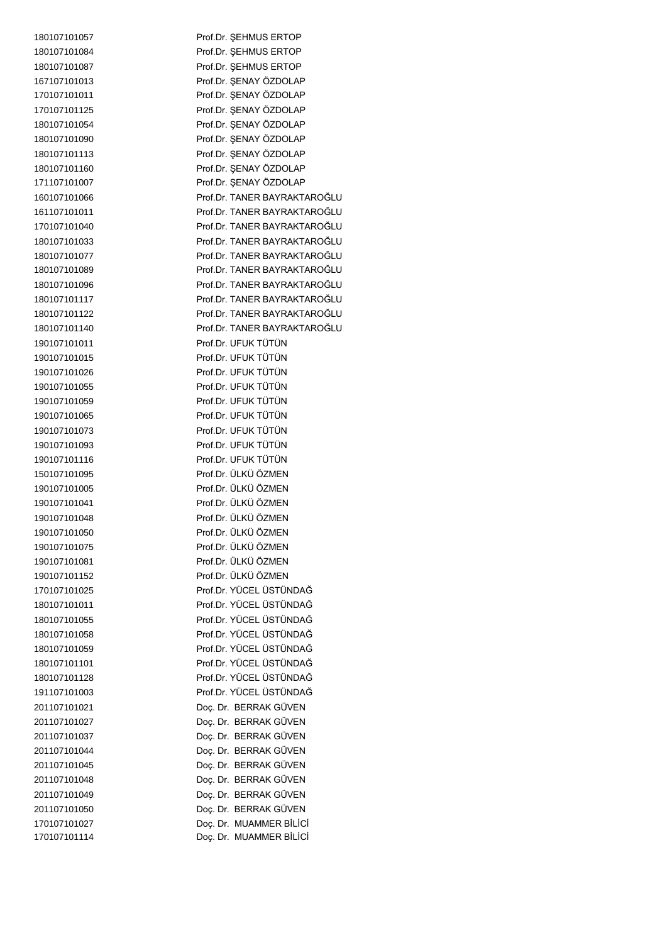| 180107101057                 | Prof.Dr. SEHMUS ERTOP                              |
|------------------------------|----------------------------------------------------|
| 180107101084                 | Prof.Dr. ŞEHMUS ERTOP                              |
| 180107101087                 | Prof.Dr. SEHMUS ERTOP                              |
| 167107101013                 | Prof.Dr. ŞENAY ÖZDOLAP                             |
| 170107101011                 | Prof.Dr. ŞENAY ÖZDOLAP                             |
| 170107101125                 | Prof.Dr. ŞENAY ÖZDOLAP                             |
| 180107101054                 | Prof.Dr. ŞENAY ÖZDOLAP                             |
| 180107101090                 | Prof.Dr. ŞENAY ÖZDOLAP                             |
| 180107101113                 | Prof.Dr. ŞENAY ÖZDOLAP                             |
| 180107101160                 | Prof.Dr. ŞENAY ÖZDOLAP                             |
| 171107101007                 | Prof.Dr. ŞENAY ÖZDOLAP                             |
| 160107101066                 | Prof.Dr. TANER BAYRAKTAROĞLU                       |
| 161107101011                 | Prof.Dr. TANER BAYRAKTAROĞLU                       |
| 170107101040                 | Prof.Dr. TANER BAYRAKTAROĞLU                       |
| 180107101033                 | Prof.Dr. TANER BAYRAKTAROĞLU                       |
| 180107101077                 | Prof.Dr. TANER BAYRAKTAROĞLU                       |
| 180107101089                 | Prof.Dr. TANER BAYRAKTAROĞLU                       |
| 180107101096                 | Prof.Dr. TANER BAYRAKTAROĞLU                       |
| 180107101117                 | Prof.Dr. TANER BAYRAKTAROĞLU                       |
| 180107101122                 | Prof.Dr. TANER BAYRAKTAROĞLU                       |
| 180107101140                 | Prof.Dr. TANER BAYRAKTAROĞLU                       |
| 190107101011                 | Prof.Dr. UFUK TÜTÜN                                |
| 190107101015                 | Prof.Dr. UFUK TÜTÜN                                |
| 190107101026                 | Prof.Dr. UFUK TÜTÜN                                |
| 190107101055                 | Prof.Dr. UFUK TÜTÜN                                |
| 190107101059                 | Prof.Dr. UFUK TÜTÜN                                |
| 190107101065                 | Prof.Dr. UFUK TÜTÜN                                |
| 190107101073                 | Prof.Dr. UFUK TÜTÜN                                |
| 190107101093                 | Prof.Dr. UFUK TÜTÜN                                |
| 190107101116                 | Prof.Dr. UFUK TÜTÜN                                |
| 150107101095                 | Prof.Dr. ÜLKÜ ÖZMEN                                |
| 190107101005                 | Prof.Dr. ÜLKÜ ÖZMEN                                |
| 190107101041                 | Prof.Dr. ÜLKÜ ÖZMEN                                |
| 190107101048                 | Prof.Dr. ÜLKÜ ÖZMEN                                |
| 190107101050                 | Prof Dr. Ül KÜ ÖZMEN                               |
| 190107101075                 | Prof.Dr. ÜLKÜ ÖZMEN                                |
| 190107101081                 | Prof.Dr. ÜLKÜ ÖZMEN                                |
| 190107101152                 | Prof.Dr. ÜLKÜ ÖZMEN                                |
| 170107101025                 | Prof.Dr. YÜCEL ÜSTÜNDAĞ                            |
| 180107101011                 | Prof.Dr. YÜCEL ÜSTÜNDAĞ                            |
| 180107101055                 | Prof.Dr. YÜCEL ÜSTÜNDAĞ                            |
| 180107101058                 | Prof.Dr. YÜCEL ÜSTÜNDAĞ                            |
| 180107101059                 | Prof.Dr. YÜCEL ÜSTÜNDAĞ                            |
| 180107101101                 | Prof.Dr. YÜCEL ÜSTÜNDAĞ                            |
| 180107101128                 | Prof.Dr. YÜCEL ÜSTÜNDAĞ                            |
| 191107101003                 | Prof.Dr. YÜCEL ÜSTÜNDAĞ                            |
| 201107101021                 | Doç. Dr. BERRAK GÜVEN                              |
| 201107101027                 | Doç. Dr. BERRAK GÜVEN                              |
| 201107101037                 | Doç. Dr. BERRAK GÜVEN                              |
| 201107101044                 | Doç. Dr. BERRAK GÜVEN                              |
| 201107101045                 | Doç. Dr. BERRAK GÜVEN                              |
| 201107101048                 | Doç. Dr. BERRAK GÜVEN                              |
| 201107101049                 | Doç. Dr. BERRAK GÜVEN                              |
| 201107101050                 | Doç. Dr. BERRAK GÜVEN                              |
| 170107101027<br>170107101114 | Doç. Dr. MUAMMER BİLİCİ<br>Doç. Dr. MUAMMER BİLİCİ |
|                              |                                                    |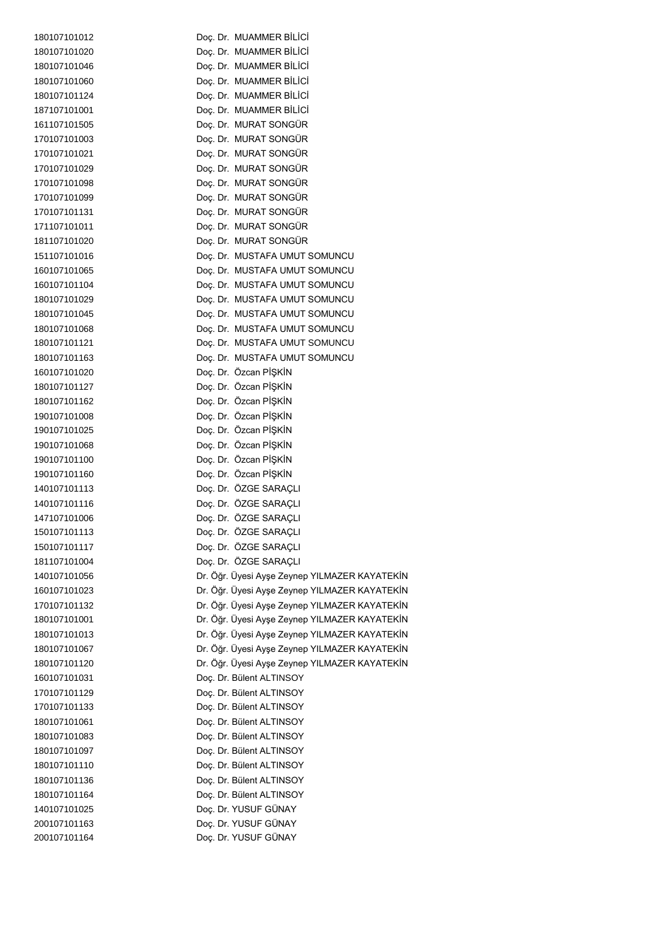| 180107101012 | Doc. Dr. MUAMMER BILICI                       |
|--------------|-----------------------------------------------|
| 180107101020 | Doc. Dr. MUAMMER BİLİCİ                       |
| 180107101046 | Doc. Dr. MUAMMER BİLİCİ                       |
| 180107101060 | Doç. Dr. MUAMMER BİLİCİ                       |
| 180107101124 | Doç. Dr. MUAMMER BİLİCİ                       |
| 187107101001 | Doç. Dr. MUAMMER BİLİCİ                       |
| 161107101505 | Doç. Dr. MURAT SONGÜR                         |
| 170107101003 | Doç. Dr. MURAT SONGÜR                         |
| 170107101021 | Doç. Dr. MURAT SONGÜR                         |
| 170107101029 | Doç. Dr. MURAT SONGÜR                         |
| 170107101098 | Doç. Dr. MURAT SONGÜR                         |
| 170107101099 | Doç. Dr. MURAT SONGÜR                         |
| 170107101131 | Doç. Dr. MURAT SONGÜR                         |
| 171107101011 | Doç. Dr. MURAT SONGÜR                         |
| 181107101020 | Doç. Dr. MURAT SONGÜR                         |
| 151107101016 | Doç. Dr. MUSTAFA UMUT SOMUNCU                 |
| 160107101065 | Doç. Dr. MUSTAFA UMUT SOMUNCU                 |
| 160107101104 | Doç. Dr. MUSTAFA UMUT SOMUNCU                 |
| 180107101029 | Doç. Dr. MUSTAFA UMUT SOMUNCU                 |
| 180107101045 | Doc. Dr. MUSTAFA UMUT SOMUNCU                 |
| 180107101068 | Doç. Dr. MUSTAFA UMUT SOMUNCU                 |
| 180107101121 | Doc. Dr. MUSTAFA UMUT SOMUNCU                 |
| 180107101163 | Doç. Dr. MUSTAFA UMUT SOMUNCU                 |
| 160107101020 | Doç. Dr. Özcan PİŞKİN                         |
| 180107101127 | Doç. Dr. Özcan PİŞKİN                         |
| 180107101162 | Doç. Dr. Özcan PİŞKİN                         |
| 190107101008 | Doç. Dr. Özcan PİŞKİN                         |
| 190107101025 | Doç. Dr. Özcan PİŞKİN                         |
| 190107101068 | Doç. Dr. Özcan PİŞKİN                         |
| 190107101100 | Doç. Dr. Özcan PİŞKİN                         |
| 190107101160 | Doç. Dr. Özcan PİŞKİN                         |
| 140107101113 | Doç. Dr. ÖZGE SARAÇLI                         |
| 140107101116 | Doç. Dr. ÖZGE SARAÇLI                         |
| 147107101006 | Doç. Dr. ÖZGE SARAÇLI                         |
| 150107101113 | Doç. Dr. ÖZGE SARAÇLI                         |
| 150107101117 | Doç. Dr. ÖZGE SARAÇLI                         |
| 181107101004 | Doç. Dr. ÖZGE SARAÇLI                         |
| 140107101056 | Dr. Öğr. Üyesi Ayşe Zeynep YILMAZER KAYATEKİN |
| 160107101023 | Dr. Öğr. Üyesi Ayşe Zeynep YILMAZER KAYATEKİN |
| 170107101132 | Dr. Öğr. Üyesi Ayşe Zeynep YILMAZER KAYATEKİN |
| 180107101001 | Dr. Öğr. Üyesi Ayşe Zeynep YILMAZER KAYATEKİN |
| 180107101013 | Dr. Öğr. Üyesi Ayşe Zeynep YILMAZER KAYATEKİN |
| 180107101067 | Dr. Öğr. Üyesi Ayşe Zeynep YILMAZER KAYATEKİN |
| 180107101120 | Dr. Öğr. Üyesi Ayşe Zeynep YILMAZER KAYATEKİN |
| 160107101031 | Doç. Dr. Bülent ALTINSOY                      |
| 170107101129 | Doç. Dr. Bülent ALTINSOY                      |
| 170107101133 | Doç. Dr. Bülent ALTINSOY                      |
| 180107101061 | Doç. Dr. Bülent ALTINSOY                      |
| 180107101083 | Doç. Dr. Bülent ALTINSOY                      |
| 180107101097 | Doç. Dr. Bülent ALTINSOY                      |
| 180107101110 | Doç. Dr. Bülent ALTINSOY                      |
| 180107101136 | Doç. Dr. Bülent ALTINSOY                      |
| 180107101164 | Doç. Dr. Bülent ALTINSOY                      |
| 140107101025 | Doç. Dr. YUSUF GÜNAY                          |
| 200107101163 | Doç. Dr. YUSUF GÜNAY                          |
| 200107101164 | Doç. Dr. YUSUF GÜNAY                          |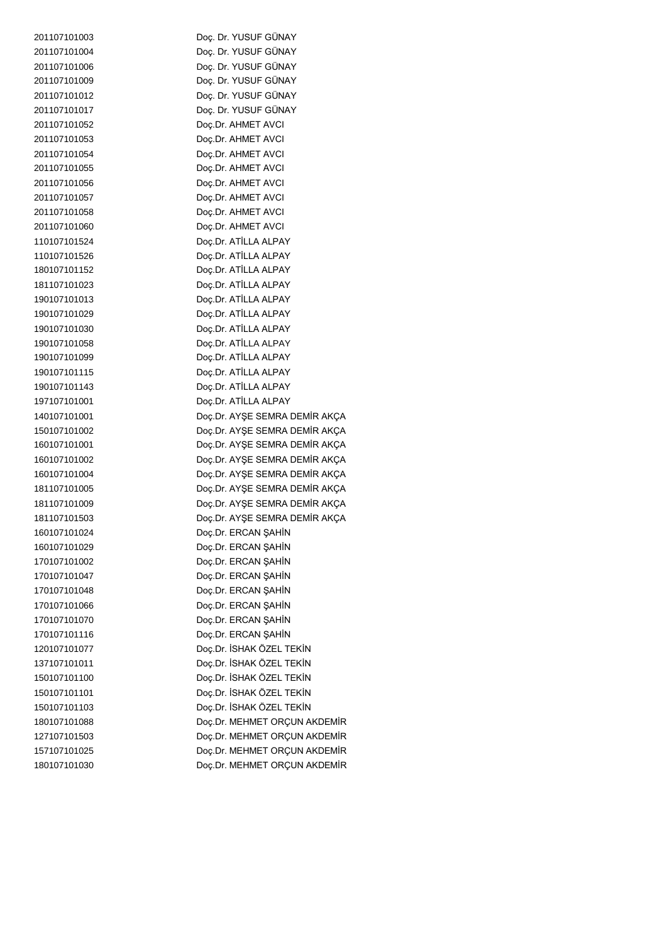| 201107101003 | Doç. Dr. YUSUF GÜNAY          |
|--------------|-------------------------------|
| 201107101004 | Doç. Dr. YUSUF GÜNAY          |
| 201107101006 | Doç. Dr. YUSUF GÜNAY          |
| 201107101009 | Doç. Dr. YUSUF GÜNAY          |
| 201107101012 | Doç. Dr. YUSUF GÜNAY          |
| 201107101017 | Doç. Dr. YUSUF GÜNAY          |
| 201107101052 | Doç.Dr. AHMET AVCI            |
| 201107101053 | Doç.Dr. AHMET AVCI            |
| 201107101054 | Doç.Dr. AHMET AVCI            |
| 201107101055 | Doç.Dr. AHMET AVCI            |
| 201107101056 | Doç.Dr. AHMET AVCI            |
| 201107101057 | Doç.Dr. AHMET AVCI            |
| 201107101058 | Doç.Dr. AHMET AVCI            |
| 201107101060 | Doç.Dr. AHMET AVCI            |
| 110107101524 | Doç.Dr. ATİLLA ALPAY          |
| 110107101526 | Doç.Dr. ATİLLA ALPAY          |
| 180107101152 | Doç.Dr. ATİLLA ALPAY          |
| 181107101023 | Doç.Dr. ATİLLA ALPAY          |
| 190107101013 | Doç.Dr. ATİLLA ALPAY          |
| 190107101029 | Doç.Dr. ATİLLA ALPAY          |
| 190107101030 | Doç.Dr. ATİLLA ALPAY          |
| 190107101058 | Doç.Dr. ATİLLA ALPAY          |
| 190107101099 | Doç.Dr. ATİLLA ALPAY          |
| 190107101115 | Doç.Dr. ATİLLA ALPAY          |
| 190107101143 | Doç.Dr. ATİLLA ALPAY          |
| 197107101001 | Doç.Dr. ATİLLA ALPAY          |
| 140107101001 | Doç.Dr. AYŞE SEMRA DEMİR AKÇA |
| 150107101002 | Doç.Dr. AYŞE SEMRA DEMİR AKÇA |
| 160107101001 | Doç.Dr. AYŞE SEMRA DEMİR AKÇA |
| 160107101002 | Doç.Dr. AYŞE SEMRA DEMİR AKÇA |
| 160107101004 | Doç.Dr. AYŞE SEMRA DEMİR AKÇA |
| 181107101005 | Doç.Dr. AYŞE SEMRA DEMİR AKÇA |
| 181107101009 | Doç.Dr. AYŞE SEMRA DEMİR AKÇA |
| 181107101503 | Doç.Dr. AYŞE SEMRA DEMİR AKÇA |
| 160107101024 | Doç.Dr. ERCAN ŞAHİN           |
| 160107101029 | Doç.Dr. ERCAN ŞAHİN           |
| 170107101002 | Doç.Dr. ERCAN ŞAHİN           |
| 170107101047 | Doç.Dr. ERCAN ŞAHİN           |
| 170107101048 | Doç.Dr. ERCAN ŞAHİN           |
| 170107101066 | Doç.Dr. ERCAN ŞAHİN           |
| 170107101070 | Doç.Dr. ERCAN ŞAHİN           |
| 170107101116 | Doç.Dr. ERCAN ŞAHİN           |
| 120107101077 | Doç.Dr. İSHAK ÖZEL TEKİN      |
| 137107101011 | Doç.Dr. İSHAK ÖZEL TEKİN      |
| 150107101100 | Doç.Dr. İSHAK ÖZEL TEKİN      |
| 150107101101 | Doç.Dr. İSHAK ÖZEL TEKİN      |
| 150107101103 | Doç.Dr. İSHAK ÖZEL TEKİN      |
| 180107101088 | Doç.Dr. MEHMET ORÇUN AKDEMİR  |
| 127107101503 | Doç.Dr. MEHMET ORÇUN AKDEMİR  |
| 157107101025 | Doç.Dr. MEHMET ORÇUN AKDEMİR  |
| 180107101030 | Doç.Dr. MEHMET ORÇUN AKDEMİR  |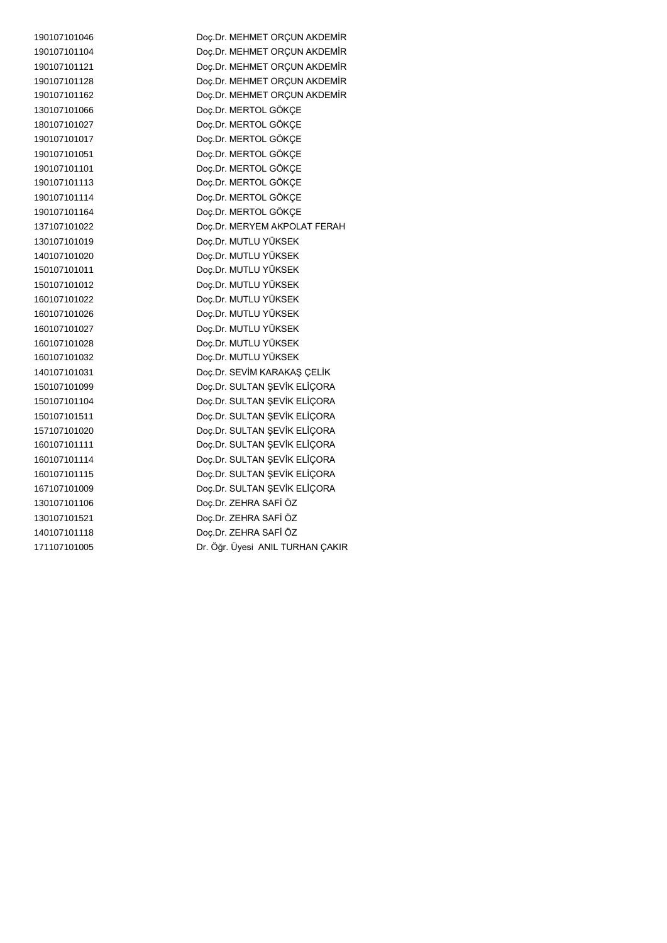Doç.Dr. MEHMET ORÇUN AKDEMİR Doç.Dr. MEHMET ORÇUN AKDEMİR Doç.Dr. MEHMET ORÇUN AKDEMİR Doç.Dr. MEHMET ORÇUN AKDEMİR Doç.Dr. MEHMET ORÇUN AKDEMİR Doç.Dr. MERTOL GÖKÇE Doç.Dr. MERTOL GÖKÇE Doç.Dr. MERTOL GÖKÇE Doç.Dr. MERTOL GÖKÇE Doç.Dr. MERTOL GÖKÇE Doç.Dr. MERTOL GÖKÇE Doç.Dr. MERTOL GÖKÇE Doç.Dr. MERTOL GÖKÇE Doç.Dr. MERYEM AKPOLAT FERAH Doç.Dr. MUTLU YÜKSEK Doç.Dr. MUTLU YÜKSEK Doç.Dr. MUTLU YÜKSEK Doç.Dr. MUTLU YÜKSEK Doç.Dr. MUTLU YÜKSEK Doç.Dr. MUTLU YÜKSEK Doç.Dr. MUTLU YÜKSEK Doç.Dr. MUTLU YÜKSEK Doç.Dr. MUTLU YÜKSEK Doç.Dr. SEVİM KARAKAŞ ÇELİK Doç.Dr. SULTAN ŞEVİK ELİÇORA Doç.Dr. SULTAN ŞEVİK ELİÇORA Doç.Dr. SULTAN ŞEVİK ELİÇORA Doç.Dr. SULTAN ŞEVİK ELİÇORA Doç.Dr. SULTAN ŞEVİK ELİÇORA Doç.Dr. SULTAN ŞEVİK ELİÇORA Doç.Dr. SULTAN ŞEVİK ELİÇORA Doç.Dr. SULTAN ŞEVİK ELİÇORA Doç.Dr. ZEHRA SAFİ ÖZ Doç.Dr. ZEHRA SAFİ ÖZ Doç.Dr. ZEHRA SAFİ ÖZ Dr. Öğr. Üyesi ANIL TURHAN ÇAKIR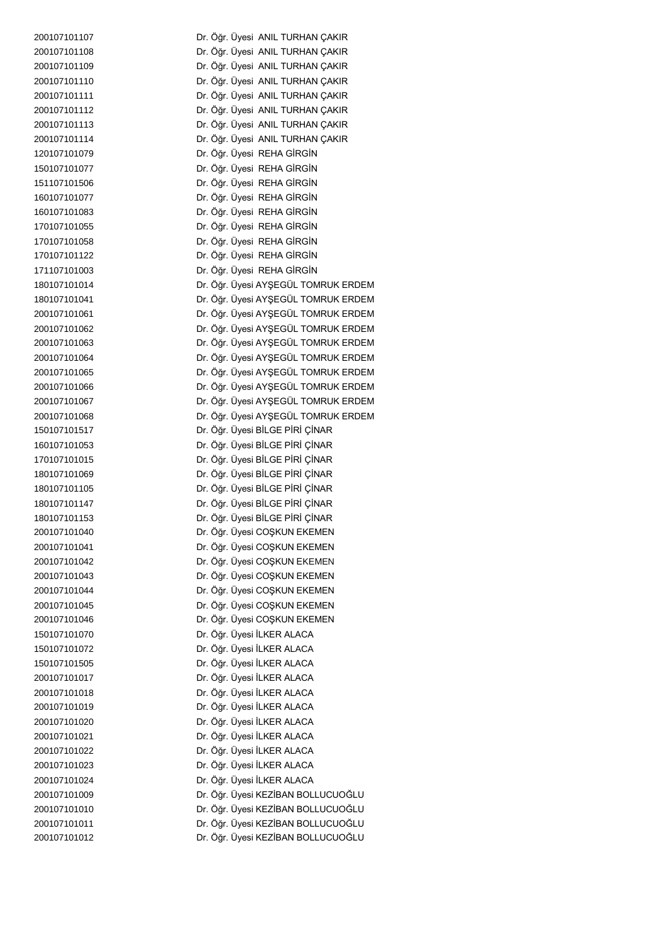Dr. Öğr. Üyesi ANIL TURHAN ÇAKIR Dr. Öğr. Üyesi ANIL TURHAN ÇAKIR Dr. Öğr. Üyesi ANIL TURHAN ÇAKIR Dr. Öğr. Üyesi ANIL TURHAN ÇAKIR Dr. Öğr. Üyesi ANIL TURHAN ÇAKIR Dr. Öğr. Üyesi ANIL TURHAN ÇAKIR Dr. Öğr. Üyesi ANIL TURHAN ÇAKIR Dr. Öğr. Üyesi ANIL TURHAN ÇAKIR Dr. Öğr. Üyesi REHA GİRGİN Dr. Öğr. Üyesi REHA GİRGİN Dr. Öğr. Üyesi REHA GİRGİN Dr. Öğr. Üyesi REHA GİRGİN Dr. Öğr. Üyesi REHA GİRGİN Dr. Öğr. Üyesi REHA GİRGİN Dr. Öğr. Üyesi REHA GİRGİN Dr. Öğr. Üyesi REHA GİRGİN Dr. Öğr. Üyesi REHA GİRGİN Dr. Öğr. Üyesi AYŞEGÜL TOMRUK ERDEM Dr. Öğr. Üyesi AYŞEGÜL TOMRUK ERDEM Dr. Öğr. Üyesi AYŞEGÜL TOMRUK ERDEM Dr. Öğr. Üyesi AYŞEGÜL TOMRUK ERDEM Dr. Öğr. Üyesi AYŞEGÜL TOMRUK ERDEM Dr. Öğr. Üyesi AYŞEGÜL TOMRUK ERDEM Dr. Öğr. Üyesi AYŞEGÜL TOMRUK ERDEM Dr. Öğr. Üyesi AYŞEGÜL TOMRUK ERDEM Dr. Öğr. Üyesi AYŞEGÜL TOMRUK ERDEM Dr. Öğr. Üyesi AYŞEGÜL TOMRUK ERDEM Dr. Öğr. Üyesi BİLGE PİRİ ÇİNAR Dr. Öğr. Üyesi BİLGE PİRİ ÇİNAR Dr. Öğr. Üyesi BİLGE PİRİ ÇİNAR Dr. Öğr. Üyesi BİLGE PİRİ ÇİNAR Dr. Öğr. Üyesi BİLGE PİRİ ÇİNAR Dr. Öğr. Üyesi BİLGE PİRİ ÇİNAR Dr. Öğr. Üyesi BİLGE PİRİ ÇİNAR Dr. Öğr. Üyesi COŞKUN EKEMEN Dr. Öğr. Üyesi COŞKUN EKEMEN Dr. Öğr. Üyesi COŞKUN EKEMEN Dr. Öğr. Üyesi COŞKUN EKEMEN Dr. Öğr. Üyesi COŞKUN EKEMEN Dr. Öğr. Üyesi COŞKUN EKEMEN Dr. Öğr. Üyesi COŞKUN EKEMEN Dr. Öğr. Üyesi İLKER ALACA Dr. Öğr. Üyesi İLKER ALACA Dr. Öğr. Üyesi İLKER ALACA Dr. Öğr. Üyesi İLKER ALACA Dr. Öğr. Üyesi İLKER ALACA Dr. Öğr. Üyesi İLKER ALACA Dr. Öğr. Üyesi İLKER ALACA Dr. Öğr. Üyesi İLKER ALACA Dr. Öğr. Üyesi İLKER ALACA Dr. Öğr. Üyesi İLKER ALACA Dr. Öğr. Üyesi İLKER ALACA Dr. Öğr. Üyesi KEZİBAN BOLLUCUOĞLU Dr. Öğr. Üyesi KEZİBAN BOLLUCUOĞLU Dr. Öğr. Üyesi KEZİBAN BOLLUCUOĞLU Dr. Öğr. Üyesi KEZİBAN BOLLUCUOĞLU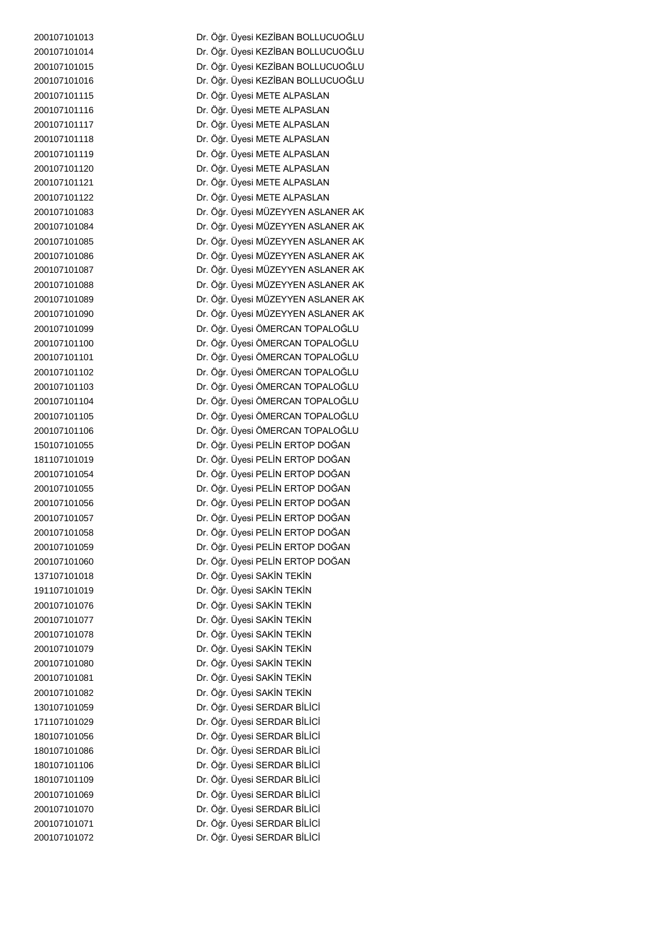Dr. Öğr. Üyesi KEZİBAN BOLLUCUOĞLU Dr. Öğr. Üyesi KEZİBAN BOLLUCUOĞLU Dr. Öğr. Üyesi KEZİBAN BOLLUCUOĞLU Dr. Öğr. Üyesi KEZİBAN BOLLUCUOĞLU Dr. Öğr. Üyesi METE ALPASLAN Dr. Öğr. Üyesi METE ALPASLAN Dr. Öğr. Üyesi METE ALPASLAN Dr. Öğr. Üyesi METE ALPASLAN Dr. Öğr. Üyesi METE ALPASLAN Dr. Öğr. Üyesi METE ALPASLAN Dr. Öğr. Üyesi METE ALPASLAN Dr. Öğr. Üyesi METE ALPASLAN Dr. Öğr. Üyesi MÜZEYYEN ASLANER AK Dr. Öğr. Üyesi MÜZEYYEN ASLANER AK Dr. Öğr. Üyesi MÜZEYYEN ASLANER AK Dr. Öğr. Üyesi MÜZEYYEN ASLANER AK Dr. Öğr. Üyesi MÜZEYYEN ASLANER AK Dr. Öğr. Üyesi MÜZEYYEN ASLANER AK Dr. Öğr. Üyesi MÜZEYYEN ASLANER AK Dr. Öğr. Üyesi MÜZEYYEN ASLANER AK Dr. Öğr. Üyesi ÖMERCAN TOPALOĞLU Dr. Öğr. Üyesi ÖMERCAN TOPALOĞLU Dr. Öğr. Üyesi ÖMERCAN TOPALOĞLU Dr. Öğr. Üyesi ÖMERCAN TOPALOĞLU Dr. Öğr. Üyesi ÖMERCAN TOPALOĞLU Dr. Öğr. Üyesi ÖMERCAN TOPALOĞLU Dr. Öğr. Üyesi ÖMERCAN TOPALOĞLU Dr. Öğr. Üyesi ÖMERCAN TOPALOĞLU Dr. Öğr. Üyesi PELİN ERTOP DOĞAN Dr. Öğr. Üyesi PELİN ERTOP DOĞAN Dr. Öğr. Üyesi PELİN ERTOP DOĞAN Dr. Öğr. Üyesi PELİN ERTOP DOĞAN Dr. Öğr. Üyesi PELİN ERTOP DOĞAN Dr. Öğr. Üyesi PELİN ERTOP DOĞAN Dr. Öğr. Üyesi PELİN ERTOP DOĞAN Dr. Öğr. Üyesi PELİN ERTOP DOĞAN Dr. Öğr. Üyesi PELİN ERTOP DOĞAN Dr. Öğr. Üyesi SAKİN TEKİN Dr. Öğr. Üyesi SAKİN TEKİN Dr. Öğr. Üyesi SAKİN TEKİN Dr. Öğr. Üyesi SAKİN TEKİN Dr. Öğr. Üyesi SAKİN TEKİN Dr. Öğr. Üyesi SAKİN TEKİN Dr. Öğr. Üyesi SAKİN TEKİN Dr. Öğr. Üyesi SAKİN TEKİN Dr. Öğr. Üyesi SAKİN TEKİN Dr. Öğr. Üyesi SERDAR BİLİCİ Dr. Öğr. Üyesi SERDAR BİLİCİ Dr. Öğr. Üyesi SERDAR BİLİCİ Dr. Öğr. Üyesi SERDAR BİLİCİ Dr. Öğr. Üyesi SERDAR BİLİCİ Dr. Öğr. Üyesi SERDAR BİLİCİ Dr. Öğr. Üyesi SERDAR BİLİCİ Dr. Öğr. Üyesi SERDAR BİLİCİ Dr. Öğr. Üyesi SERDAR BİLİCİ Dr. Öğr. Üyesi SERDAR BİLİCİ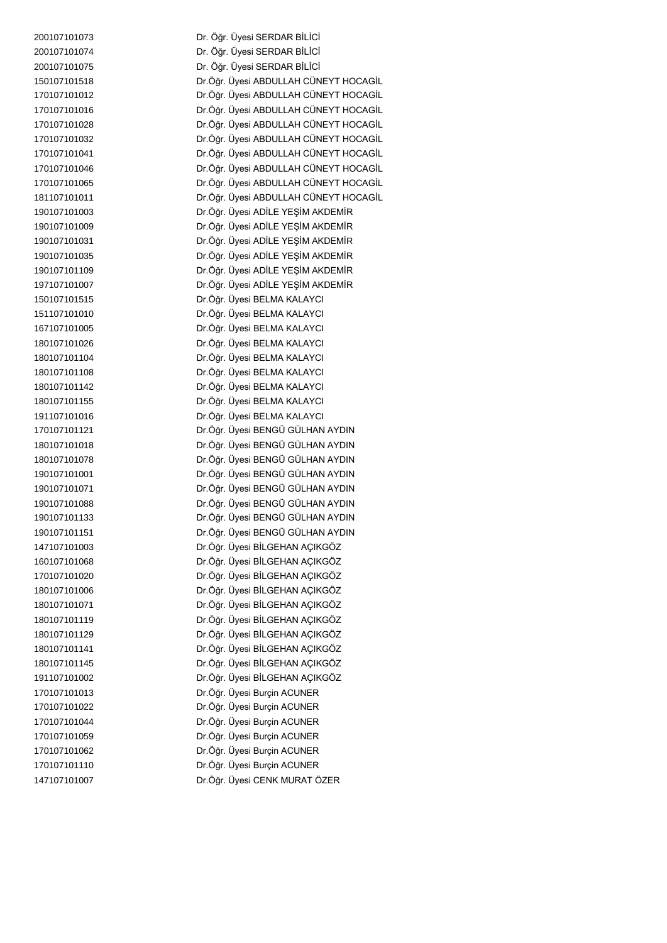Dr. Öğr. Üyesi SERDAR BİLİCİ Dr. Öğr. Üyesi SERDAR BİLİCİ Dr. Öğr. Üyesi SERDAR BİLİCİ Dr.Öğr. Üyesi ABDULLAH CÜNEYT HOCAGİL Dr.Öğr. Üyesi ABDULLAH CÜNEYT HOCAGİL Dr.Öğr. Üyesi ABDULLAH CÜNEYT HOCAGİL Dr.Öğr. Üyesi ABDULLAH CÜNEYT HOCAGİL Dr.Öğr. Üyesi ABDULLAH CÜNEYT HOCAGİL Dr.Öğr. Üyesi ABDULLAH CÜNEYT HOCAGİL Dr.Öğr. Üyesi ABDULLAH CÜNEYT HOCAGİL Dr.Öğr. Üyesi ABDULLAH CÜNEYT HOCAGİL Dr.Öğr. Üyesi ABDULLAH CÜNEYT HOCAGİL Dr.Öğr. Üyesi ADİLE YEŞİM AKDEMİR Dr.Öğr. Üyesi ADİLE YEŞİM AKDEMİR Dr.Öğr. Üyesi ADİLE YEŞİM AKDEMİR Dr.Öğr. Üyesi ADİLE YEŞİM AKDEMİR Dr.Öğr. Üyesi ADİLE YEŞİM AKDEMİR Dr.Öğr. Üyesi ADİLE YEŞİM AKDEMİR Dr.Öğr. Üyesi BELMA KALAYCI Dr.Öğr. Üyesi BELMA KALAYCI Dr.Öğr. Üyesi BELMA KALAYCI Dr.Öğr. Üyesi BELMA KALAYCI Dr.Öğr. Üyesi BELMA KALAYCI Dr.Öğr. Üyesi BELMA KALAYCI Dr.Öğr. Üyesi BELMA KALAYCI Dr.Öğr. Üyesi BELMA KALAYCI Dr.Öğr. Üyesi BELMA KALAYCI Dr.Öğr. Üyesi BENGÜ GÜLHAN AYDIN Dr.Öğr. Üyesi BENGÜ GÜLHAN AYDIN Dr.Öğr. Üyesi BENGÜ GÜLHAN AYDIN Dr.Öğr. Üyesi BENGÜ GÜLHAN AYDIN Dr.Öğr. Üyesi BENGÜ GÜLHAN AYDIN Dr.Öğr. Üyesi BENGÜ GÜLHAN AYDIN Dr.Öğr. Üyesi BENGÜ GÜLHAN AYDIN Dr.Öğr. Üyesi BENGÜ GÜLHAN AYDIN Dr.Öğr. Üyesi BİLGEHAN AÇIKGÖZ Dr.Öğr. Üyesi BİLGEHAN AÇIKGÖZ Dr.Öğr. Üyesi BİLGEHAN AÇIKGÖZ Dr.Öğr. Üyesi BİLGEHAN AÇIKGÖZ Dr.Öğr. Üyesi BİLGEHAN AÇIKGÖZ Dr.Öğr. Üyesi BİLGEHAN AÇIKGÖZ Dr.Öğr. Üyesi BİLGEHAN AÇIKGÖZ Dr.Öğr. Üyesi BİLGEHAN AÇIKGÖZ Dr.Öğr. Üyesi BİLGEHAN AÇIKGÖZ Dr.Öğr. Üyesi BİLGEHAN AÇIKGÖZ Dr.Öğr. Üyesi Burçin ACUNER Dr.Öğr. Üyesi Burçin ACUNER Dr.Öğr. Üyesi Burçin ACUNER Dr.Öğr. Üyesi Burçin ACUNER Dr.Öğr. Üyesi Burçin ACUNER Dr.Öğr. Üyesi Burçin ACUNER Dr.Öğr. Üyesi CENK MURAT ÖZER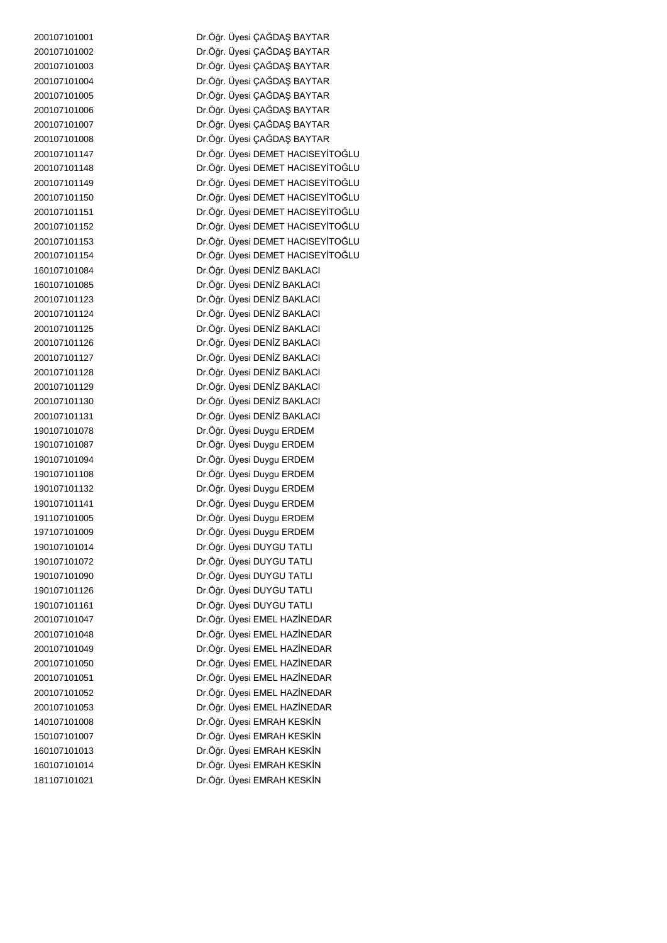Dr.Öğr. Üyesi ÇAĞDAŞ BAYTAR Dr.Öğr. Üyesi ÇAĞDAŞ BAYTAR Dr.Öğr. Üyesi ÇAĞDAŞ BAYTAR Dr.Öğr. Üyesi ÇAĞDAŞ BAYTAR Dr.Öğr. Üyesi ÇAĞDAŞ BAYTAR Dr.Öğr. Üyesi ÇAĞDAŞ BAYTAR Dr.Öğr. Üyesi ÇAĞDAŞ BAYTAR Dr.Öğr. Üyesi ÇAĞDAŞ BAYTAR Dr.Öğr. Üyesi DEMET HACISEYİTOĞLU Dr.Öğr. Üyesi DEMET HACISEYİTOĞLU Dr.Öğr. Üyesi DEMET HACISEYİTOĞLU Dr.Öğr. Üyesi DEMET HACISEYİTOĞLU Dr.Öğr. Üyesi DEMET HACISEYİTOĞLU Dr.Öğr. Üyesi DEMET HACISEYİTOĞLU Dr.Öğr. Üyesi DEMET HACISEYİTOĞLU Dr.Öğr. Üyesi DEMET HACISEYİTOĞLU Dr.Öğr. Üyesi DENİZ BAKLACI Dr.Öğr. Üyesi DENİZ BAKLACI Dr.Öğr. Üyesi DENİZ BAKLACI Dr.Öğr. Üyesi DENİZ BAKLACI Dr.Öğr. Üyesi DENİZ BAKLACI Dr.Öğr. Üyesi DENİZ BAKLACI Dr.Öğr. Üyesi DENİZ BAKLACI Dr.Öğr. Üyesi DENİZ BAKLACI Dr.Öğr. Üyesi DENİZ BAKLACI Dr.Öğr. Üyesi DENİZ BAKLACI Dr.Öğr. Üyesi DENİZ BAKLACI Dr.Öğr. Üyesi Duygu ERDEM Dr.Öğr. Üyesi Duygu ERDEM Dr.Öğr. Üyesi Duygu ERDEM Dr.Öğr. Üyesi Duygu ERDEM Dr.Öğr. Üyesi Duygu ERDEM Dr.Öğr. Üyesi Duygu ERDEM Dr.Öğr. Üyesi Duygu ERDEM Dr.Öğr. Üyesi Duygu ERDEM Dr.Öğr. Üyesi DUYGU TATLI Dr.Öğr. Üyesi DUYGU TATLI Dr.Öğr. Üyesi DUYGU TATLI Dr.Öğr. Üyesi DUYGU TATLI Dr.Öğr. Üyesi DUYGU TATLI Dr.Öğr. Üyesi EMEL HAZİNEDAR Dr.Öğr. Üyesi EMEL HAZİNEDAR Dr.Öğr. Üyesi EMEL HAZİNEDAR Dr.Öğr. Üyesi EMEL HAZİNEDAR Dr.Öğr. Üyesi EMEL HAZİNEDAR Dr.Öğr. Üyesi EMEL HAZİNEDAR Dr.Öğr. Üyesi EMEL HAZİNEDAR Dr.Öğr. Üyesi EMRAH KESKİN Dr.Öğr. Üyesi EMRAH KESKİN Dr.Öğr. Üyesi EMRAH KESKİN Dr.Öğr. Üyesi EMRAH KESKİN Dr.Öğr. Üyesi EMRAH KESKİN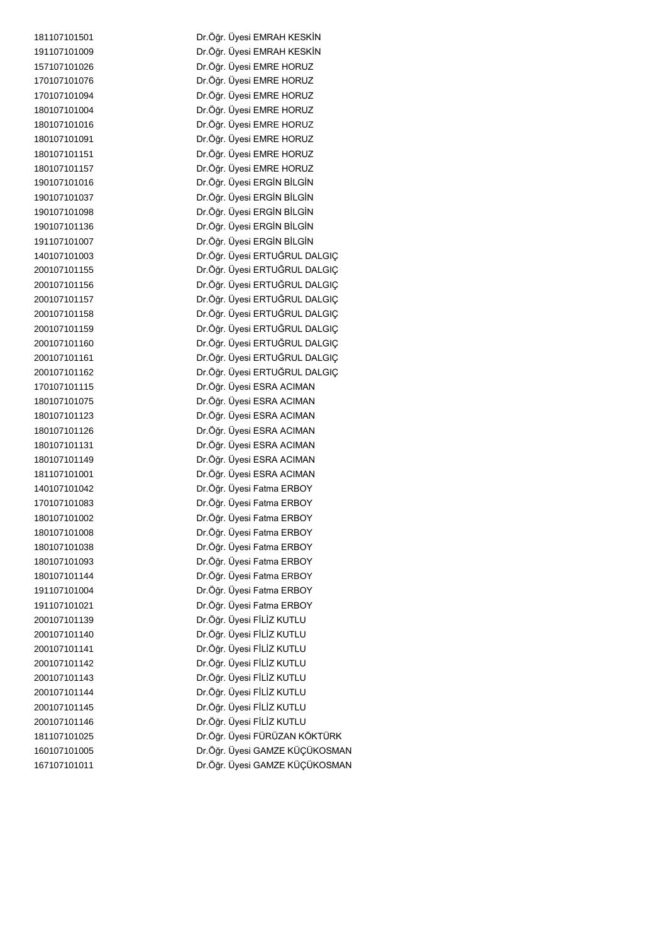Dr.Öğr. Üyesi EMRAH KESKİN Dr.Öğr. Üyesi EMRAH KESKİN Dr.Öğr. Üyesi EMRE HORUZ Dr.Öğr. Üyesi EMRE HORUZ Dr.Öğr. Üyesi EMRE HORUZ Dr.Öğr. Üyesi EMRE HORUZ Dr.Öğr. Üyesi EMRE HORUZ Dr.Öğr. Üyesi EMRE HORUZ Dr.Öğr. Üyesi EMRE HORUZ Dr.Öğr. Üyesi EMRE HORUZ Dr.Öğr. Üyesi ERGİN BİLGİN Dr.Öğr. Üyesi ERGİN BİLGİN Dr.Öğr. Üyesi ERGİN BİLGİN Dr.Öğr. Üyesi ERGİN BİLGİN Dr.Öğr. Üyesi ERGİN BİLGİN Dr.Öğr. Üyesi ERTUĞRUL DALGIÇ Dr.Öğr. Üyesi ERTUĞRUL DALGIÇ Dr.Öğr. Üyesi ERTUĞRUL DALGIÇ Dr.Öğr. Üyesi ERTUĞRUL DALGIÇ Dr.Öğr. Üyesi ERTUĞRUL DALGIÇ Dr.Öğr. Üyesi ERTUĞRUL DALGIÇ Dr.Öğr. Üyesi ERTUĞRUL DALGIÇ Dr.Öğr. Üyesi ERTUĞRUL DALGIÇ Dr.Öğr. Üyesi ERTUĞRUL DALGIÇ Dr.Öğr. Üyesi ESRA ACIMAN Dr.Öğr. Üyesi ESRA ACIMAN Dr.Öğr. Üyesi ESRA ACIMAN Dr.Öğr. Üyesi ESRA ACIMAN Dr.Öğr. Üyesi ESRA ACIMAN Dr.Öğr. Üyesi ESRA ACIMAN Dr.Öğr. Üyesi ESRA ACIMAN Dr.Öğr. Üyesi Fatma ERBOY Dr.Öğr. Üyesi Fatma ERBOY Dr.Öğr. Üyesi Fatma ERBOY Dr.Öğr. Üyesi Fatma ERBOY Dr.Öğr. Üyesi Fatma ERBOY Dr.Öğr. Üyesi Fatma ERBOY Dr.Öğr. Üyesi Fatma ERBOY Dr.Öğr. Üyesi Fatma ERBOY Dr.Öğr. Üyesi Fatma ERBOY Dr.Öğr. Üyesi FİLİZ KUTLU Dr.Öğr. Üyesi FİLİZ KUTLU Dr.Öğr. Üyesi FİLİZ KUTLU Dr.Öğr. Üyesi FİLİZ KUTLU Dr.Öğr. Üyesi FİLİZ KUTLU Dr.Öğr. Üyesi FİLİZ KUTLU Dr.Öğr. Üyesi FİLİZ KUTLU Dr.Öğr. Üyesi FİLİZ KUTLU Dr.Öğr. Üyesi FÜRÜZAN KÖKTÜRK Dr.Öğr. Üyesi GAMZE KÜÇÜKOSMAN Dr.Öğr. Üyesi GAMZE KÜÇÜKOSMAN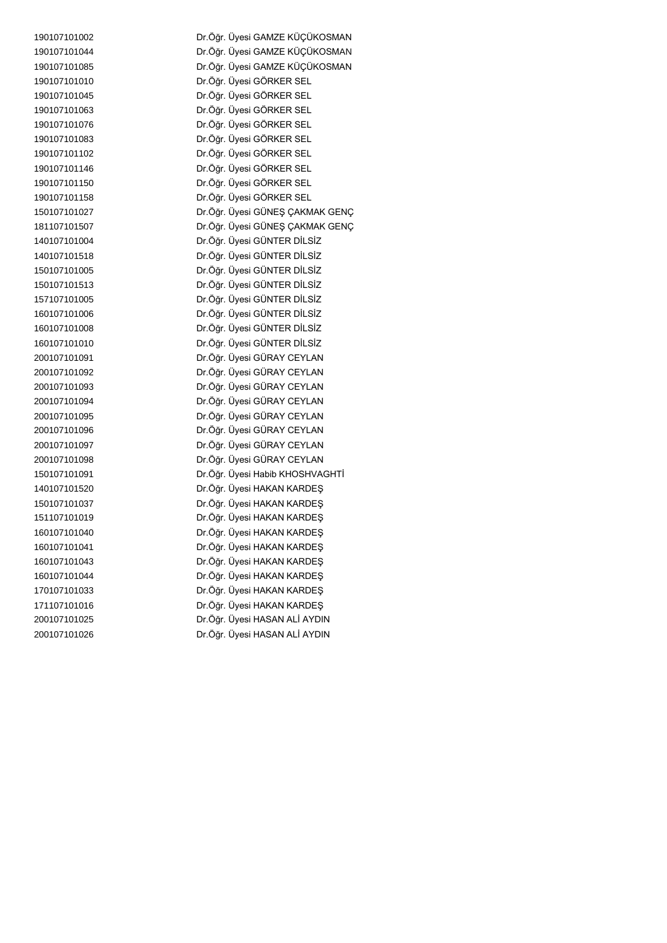Dr.Öğr. Üyesi GAMZE KÜÇÜKOSMAN Dr.Öğr. Üyesi GAMZE KÜÇÜKOSMAN Dr.Öğr. Üyesi GÖRKER SEL Dr.Öğr. Üyesi GÖRKER SEL Dr.Öğr. Üyesi GÖRKER SEL Dr.Öğr. Üyesi GÖRKER SEL Dr.Öğr. Üyesi GÖRKER SEL Dr.Öğr. Üyesi GÖRKER SEL Dr.Öğr. Üyesi GÖRKER SEL Dr.Öğr. Üyesi GÖRKER SEL Dr.Öğr. Üyesi GÖRKER SEL Dr.Öğr. Üyesi GÜNEŞ ÇAKMAK GENÇ Dr.Öğr. Üyesi GÜNEŞ ÇAKMAK GENÇ Dr.Öğr. Üyesi GÜNTER DİLSİZ Dr.Öğr. Üyesi GÜNTER DİLSİZ Dr.Öğr. Üyesi GÜNTER DİLSİZ Dr.Öğr. Üyesi GÜNTER DİLSİZ Dr.Öğr. Üyesi GÜNTER DİLSİZ Dr.Öğr. Üyesi GÜNTER DİLSİZ Dr.Öğr. Üyesi GÜNTER DİLSİZ Dr.Öğr. Üyesi GÜNTER DİLSİZ Dr.Öğr. Üyesi GÜRAY CEYLAN Dr.Öğr. Üyesi GÜRAY CEYLAN Dr.Öğr. Üyesi GÜRAY CEYLAN Dr.Öğr. Üyesi GÜRAY CEYLAN Dr.Öğr. Üyesi GÜRAY CEYLAN Dr.Öğr. Üyesi GÜRAY CEYLAN Dr.Öğr. Üyesi GÜRAY CEYLAN Dr.Öğr. Üyesi GÜRAY CEYLAN Dr.Öğr. Üyesi Habib KHOSHVAGHTİ Dr.Öğr. Üyesi HAKAN KARDEŞ Dr.Öğr. Üyesi HAKAN KARDEŞ Dr.Öğr. Üyesi HAKAN KARDEŞ Dr.Öğr. Üyesi HAKAN KARDEŞ Dr.Öğr. Üyesi HAKAN KARDEŞ Dr.Öğr. Üyesi HAKAN KARDEŞ Dr.Öğr. Üyesi HAKAN KARDEŞ Dr.Öğr. Üyesi HAKAN KARDEŞ Dr.Öğr. Üyesi HAKAN KARDEŞ Dr.Öğr. Üyesi HASAN ALİ AYDIN Dr.Öğr. Üyesi HASAN ALİ AYDIN

Dr.Öğr. Üyesi GAMZE KÜÇÜKOSMAN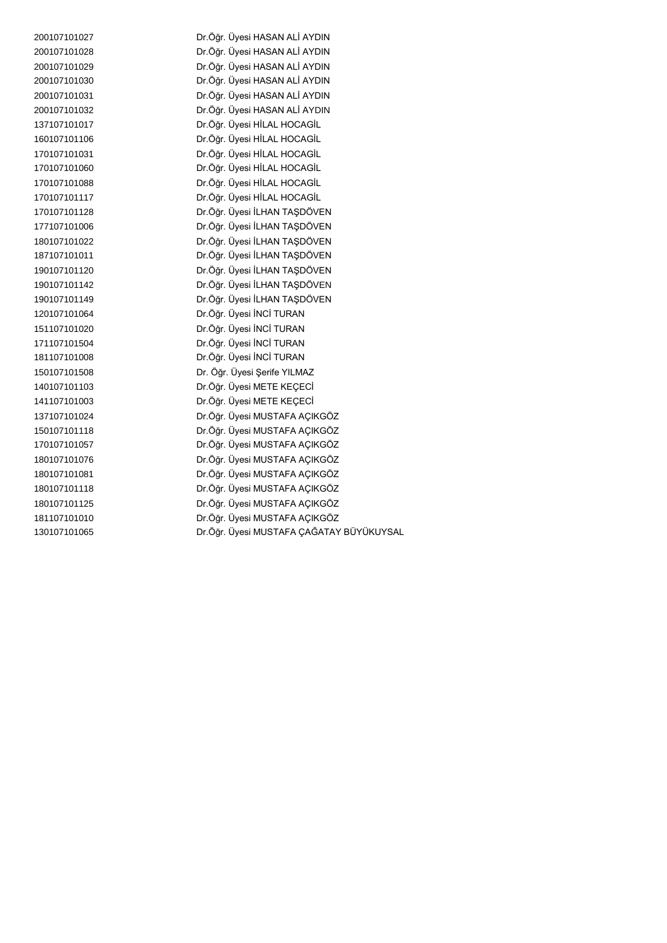Dr.Öğr. Üyesi HASAN ALİ AYDIN Dr.Öğr. Üyesi HASAN ALİ AYDIN Dr.Öğr. Üyesi HASAN ALİ AYDIN Dr.Öğr. Üyesi HASAN ALİ AYDIN Dr.Öğr. Üyesi HASAN ALİ AYDIN Dr.Öğr. Üyesi HASAN ALİ AYDIN Dr.Öğr. Üyesi HİLAL HOCAGİL Dr.Öğr. Üyesi HİLAL HOCAGİL Dr.Öğr. Üyesi HİLAL HOCAGİL Dr.Öğr. Üyesi HİLAL HOCAGİL Dr.Öğr. Üyesi HİLAL HOCAGİL Dr.Öğr. Üyesi HİLAL HOCAGİL Dr.Öğr. Üyesi İLHAN TAŞDÖVEN Dr.Öğr. Üyesi İLHAN TAŞDÖVEN Dr.Öğr. Üyesi İLHAN TAŞDÖVEN Dr.Öğr. Üyesi İLHAN TAŞDÖVEN Dr.Öğr. Üyesi İLHAN TAŞDÖVEN Dr.Öğr. Üyesi İLHAN TAŞDÖVEN Dr.Öğr. Üyesi İLHAN TAŞDÖVEN Dr.Öğr. Üyesi İNCİ TURAN Dr.Öğr. Üyesi İNCİ TURAN Dr.Öğr. Üyesi İNCİ TURAN Dr.Öğr. Üyesi İNCİ TURAN Dr. Öğr. Üyesi Şerife YILMAZ Dr.Öğr. Üyesi METE KEÇECİ Dr.Öğr. Üyesi METE KEÇECİ Dr.Öğr. Üyesi MUSTAFA AÇIKGÖZ Dr.Öğr. Üyesi MUSTAFA AÇIKGÖZ Dr.Öğr. Üyesi MUSTAFA AÇIKGÖZ Dr.Öğr. Üyesi MUSTAFA AÇIKGÖZ Dr.Öğr. Üyesi MUSTAFA AÇIKGÖZ Dr.Öğr. Üyesi MUSTAFA AÇIKGÖZ Dr.Öğr. Üyesi MUSTAFA AÇIKGÖZ Dr.Öğr. Üyesi MUSTAFA AÇIKGÖZ Dr.Öğr. Üyesi MUSTAFA ÇAĞATAY BÜYÜKUYSAL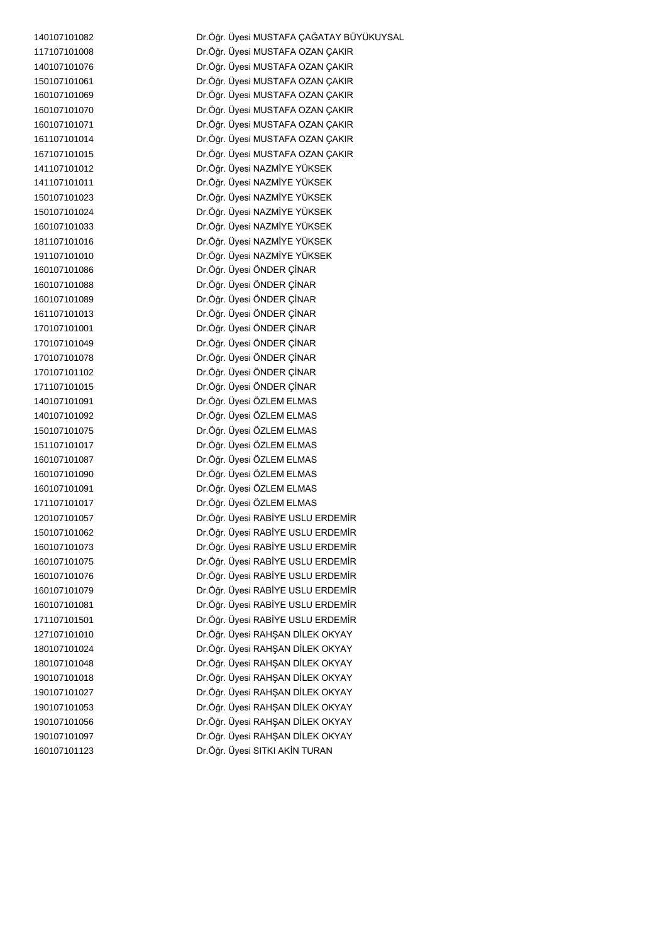Dr.Öğr. Üyesi MUSTAFA ÇAĞATAY BÜYÜKUYSAL Dr.Öğr. Üyesi MUSTAFA OZAN ÇAKIR Dr.Öğr. Üyesi MUSTAFA OZAN ÇAKIR Dr.Öğr. Üyesi MUSTAFA OZAN ÇAKIR Dr.Öğr. Üyesi MUSTAFA OZAN ÇAKIR Dr.Öğr. Üyesi MUSTAFA OZAN ÇAKIR Dr.Öğr. Üyesi MUSTAFA OZAN ÇAKIR Dr.Öğr. Üyesi MUSTAFA OZAN ÇAKIR Dr.Öğr. Üyesi MUSTAFA OZAN ÇAKIR Dr.Öğr. Üyesi NAZMİYE YÜKSEK Dr.Öğr. Üyesi NAZMİYE YÜKSEK Dr.Öğr. Üyesi NAZMİYE YÜKSEK Dr.Öğr. Üyesi NAZMİYE YÜKSEK Dr.Öğr. Üyesi NAZMİYE YÜKSEK Dr.Öğr. Üyesi NAZMİYE YÜKSEK Dr.Öğr. Üyesi NAZMİYE YÜKSEK Dr.Öğr. Üyesi ÖNDER ÇİNAR Dr.Öğr. Üyesi ÖNDER ÇİNAR Dr.Öğr. Üyesi ÖNDER ÇİNAR Dr.Öğr. Üyesi ÖNDER ÇİNAR Dr.Öğr. Üyesi ÖNDER ÇİNAR Dr.Öğr. Üyesi ÖNDER ÇİNAR Dr.Öğr. Üyesi ÖNDER ÇİNAR Dr.Öğr. Üyesi ÖNDER ÇİNAR Dr.Öğr. Üyesi ÖNDER ÇİNAR Dr.Öğr. Üyesi ÖZLEM ELMAS Dr.Öğr. Üyesi ÖZLEM ELMAS Dr.Öğr. Üyesi ÖZLEM ELMAS Dr.Öğr. Üyesi ÖZLEM ELMAS Dr.Öğr. Üyesi ÖZLEM ELMAS Dr.Öğr. Üyesi ÖZLEM ELMAS Dr.Öğr. Üyesi ÖZLEM ELMAS Dr.Öğr. Üyesi ÖZLEM ELMAS Dr.Öğr. Üyesi RABİYE USLU ERDEMİR Dr.Öğr. Üyesi RABİYE USLU ERDEMİR Dr.Öğr. Üyesi RABİYE USLU ERDEMİR Dr.Öğr. Üyesi RABİYE USLU ERDEMİR Dr.Öğr. Üyesi RABİYE USLU ERDEMİR Dr.Öğr. Üyesi RABİYE USLU ERDEMİR Dr.Öğr. Üyesi RABİYE USLU ERDEMİR Dr.Öğr. Üyesi RABİYE USLU ERDEMİR Dr.Öğr. Üyesi RAHŞAN DİLEK OKYAY Dr.Öğr. Üyesi RAHŞAN DİLEK OKYAY Dr.Öğr. Üyesi RAHŞAN DİLEK OKYAY Dr.Öğr. Üyesi RAHŞAN DİLEK OKYAY Dr.Öğr. Üyesi RAHŞAN DİLEK OKYAY Dr.Öğr. Üyesi RAHŞAN DİLEK OKYAY Dr.Öğr. Üyesi RAHŞAN DİLEK OKYAY Dr.Öğr. Üyesi RAHŞAN DİLEK OKYAY Dr.Öğr. Üyesi SITKI AKİN TURAN